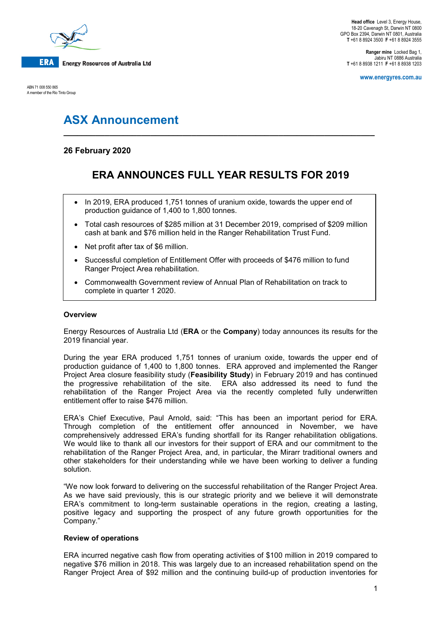

ABN 71 008 550 865 A member of the Rio Tinto Group

**Head office** Level 3, Energy House, 18-20 Cavenagh St, Darwin NT 0800 GPO Box 2394, Darwin NT 0801, Australia **T** +61 8 8924 3500 **F** +61 8 8924 3555

**Ranger mine** Locked Bag 1, Jabiru NT 0886 Australia **T** +61 8 8938 1211 **F** +61 8 8938 1203

**www.energyres.com.au**

# **ASX Announcement**

### **26 February 2020**

## **ERA ANNOUNCES FULL YEAR RESULTS FOR 2019**

**\_\_\_\_\_\_\_\_\_\_\_\_\_\_\_\_\_\_\_\_\_\_\_\_\_\_\_\_\_\_\_\_\_\_\_\_\_\_\_\_\_\_\_\_\_\_\_\_\_\_\_\_\_\_\_\_\_\_\_\_\_\_\_\_\_\_\_\_**

- In 2019, ERA produced 1,751 tonnes of uranium oxide, towards the upper end of production guidance of 1,400 to 1,800 tonnes.
- Total cash resources of \$285 million at 31 December 2019, comprised of \$209 million cash at bank and \$76 million held in the Ranger Rehabilitation Trust Fund.
- Net profit after tax of \$6 million.
- Successful completion of Entitlement Offer with proceeds of \$476 million to fund Ranger Project Area rehabilitation.
- Commonwealth Government review of Annual Plan of Rehabilitation on track to complete in quarter 1 2020.

#### **Overview**

Energy Resources of Australia Ltd (**ERA** or the **Company**) today announces its results for the 2019 financial year.

During the year ERA produced 1,751 tonnes of uranium oxide, towards the upper end of production guidance of 1,400 to 1,800 tonnes. ERA approved and implemented the Ranger Project Area closure feasibility study (**Feasibility Study**) in February 2019 and has continued the progressive rehabilitation of the site. ERA also addressed its need to fund the rehabilitation of the Ranger Project Area via the recently completed fully underwritten entitlement offer to raise \$476 million.

ERA's Chief Executive, Paul Arnold, said: "This has been an important period for ERA. Through completion of the entitlement offer announced in November, we have comprehensively addressed ERA's funding shortfall for its Ranger rehabilitation obligations. We would like to thank all our investors for their support of ERA and our commitment to the rehabilitation of the Ranger Project Area, and, in particular, the Mirarr traditional owners and other stakeholders for their understanding while we have been working to deliver a funding solution.

"We now look forward to delivering on the successful rehabilitation of the Ranger Project Area. As we have said previously, this is our strategic priority and we believe it will demonstrate ERA's commitment to long-term sustainable operations in the region, creating a lasting, positive legacy and supporting the prospect of any future growth opportunities for the Company."

#### **Review of operations**

ERA incurred negative cash flow from operating activities of \$100 million in 2019 compared to negative \$76 million in 2018. This was largely due to an increased rehabilitation spend on the Ranger Project Area of \$92 million and the continuing build-up of production inventories for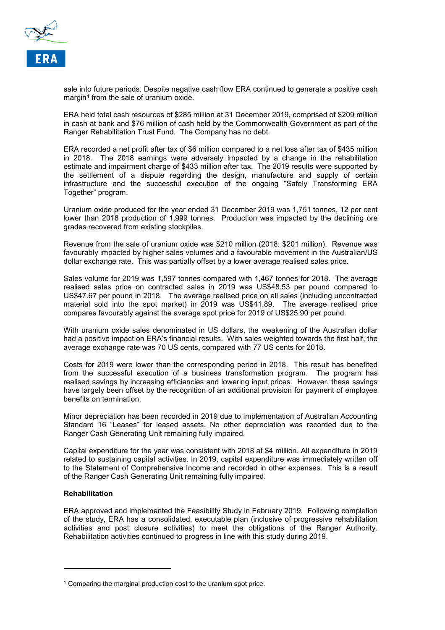

sale into future periods. Despite negative cash flow ERA continued to generate a positive cash margin<sup>[1](#page-1-0)</sup> from the sale of uranium oxide.

ERA held total cash resources of \$285 million at 31 December 2019, comprised of \$209 million in cash at bank and \$76 million of cash held by the Commonwealth Government as part of the Ranger Rehabilitation Trust Fund. The Company has no debt.

ERA recorded a net profit after tax of \$6 million compared to a net loss after tax of \$435 million in 2018. The 2018 earnings were adversely impacted by a change in the rehabilitation estimate and impairment charge of \$433 million after tax. The 2019 results were supported by the settlement of a dispute regarding the design, manufacture and supply of certain infrastructure and the successful execution of the ongoing "Safely Transforming ERA Together" program.

Uranium oxide produced for the year ended 31 December 2019 was 1,751 tonnes, 12 per cent lower than 2018 production of 1,999 tonnes. Production was impacted by the declining ore grades recovered from existing stockpiles.

Revenue from the sale of uranium oxide was \$210 million (2018: \$201 million). Revenue was favourably impacted by higher sales volumes and a favourable movement in the Australian/US dollar exchange rate. This was partially offset by a lower average realised sales price.

Sales volume for 2019 was 1,597 tonnes compared with 1,467 tonnes for 2018. The average realised sales price on contracted sales in 2019 was US\$48.53 per pound compared to US\$47.67 per pound in 2018. The average realised price on all sales (including uncontracted material sold into the spot market) in 2019 was US\$41.89. The average realised price compares favourably against the average spot price for 2019 of US\$25.90 per pound.

With uranium oxide sales denominated in US dollars, the weakening of the Australian dollar had a positive impact on ERA's financial results. With sales weighted towards the first half, the average exchange rate was 70 US cents, compared with 77 US cents for 2018.

Costs for 2019 were lower than the corresponding period in 2018. This result has benefited from the successful execution of a business transformation program. The program has realised savings by increasing efficiencies and lowering input prices. However, these savings have largely been offset by the recognition of an additional provision for payment of employee benefits on termination.

Minor depreciation has been recorded in 2019 due to implementation of Australian Accounting Standard 16 "Leases" for leased assets. No other depreciation was recorded due to the Ranger Cash Generating Unit remaining fully impaired.

Capital expenditure for the year was consistent with 2018 at \$4 million. All expenditure in 2019 related to sustaining capital activities. In 2019, capital expenditure was immediately written off to the Statement of Comprehensive Income and recorded in other expenses. This is a result of the Ranger Cash Generating Unit remaining fully impaired.

#### **Rehabilitation**

i<br>I

ERA approved and implemented the Feasibility Study in February 2019. Following completion of the study, ERA has a consolidated, executable plan (inclusive of progressive rehabilitation activities and post closure activities) to meet the obligations of the Ranger Authority. Rehabilitation activities continued to progress in line with this study during 2019.

<span id="page-1-0"></span> $1$  Comparing the marginal production cost to the uranium spot price.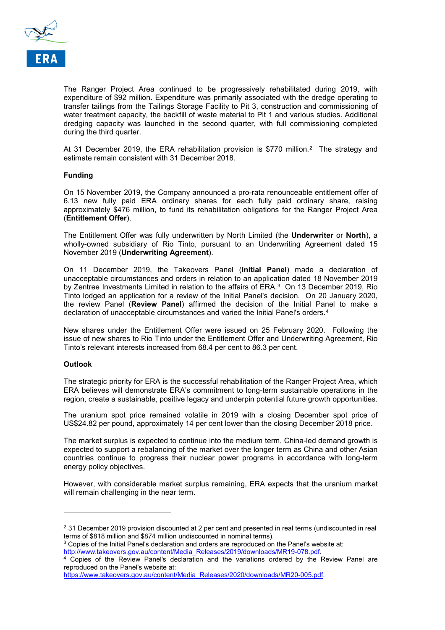

The Ranger Project Area continued to be progressively rehabilitated during 2019, with expenditure of \$92 million. Expenditure was primarily associated with the dredge operating to transfer tailings from the Tailings Storage Facility to Pit 3, construction and commissioning of water treatment capacity, the backfill of waste material to Pit 1 and various studies. Additional dredging capacity was launched in the second quarter, with full commissioning completed during the third quarter.

At 31 December [2](#page-2-0)019, the ERA rehabilitation provision is \$770 million.<sup>2</sup> The strategy and estimate remain consistent with 31 December 2018*.*

#### **Funding**

On 15 November 2019, the Company announced a pro-rata renounceable entitlement offer of 6.13 new fully paid ERA ordinary shares for each fully paid ordinary share, raising approximately \$476 million, to fund its rehabilitation obligations for the Ranger Project Area (**Entitlement Offer**).

The Entitlement Offer was fully underwritten by North Limited (the **Underwriter** or **North**), a wholly-owned subsidiary of Rio Tinto, pursuant to an Underwriting Agreement dated 15 November 2019 (**Underwriting Agreement**).

On 11 December 2019, the Takeovers Panel (**Initial Panel**) made a declaration of unacceptable circumstances and orders in relation to an application dated 18 November 2019 by Zentree Investments Limited in relation to the affairs of ERA.<sup>3</sup> On 1[3](#page-2-1) December 2019, Rio Tinto lodged an application for a review of the Initial Panel's decision. On 20 January 2020, the review Panel (**Review Panel**) affirmed the decision of the Initial Panel to make a declaration of unacceptable circumstances and varied the Initial Panel's orders.[4](#page-2-2) 

New shares under the Entitlement Offer were issued on 25 February 2020. Following the issue of new shares to Rio Tinto under the Entitlement Offer and Underwriting Agreement, Rio Tinto's relevant interests increased from 68.4 per cent to 86.3 per cent.

#### **Outlook**

i<br>I

The strategic priority for ERA is the successful rehabilitation of the Ranger Project Area, which ERA believes will demonstrate ERA's commitment to long-term sustainable operations in the region, create a sustainable, positive legacy and underpin potential future growth opportunities.

The uranium spot price remained volatile in 2019 with a closing December spot price of US\$24.82 per pound, approximately 14 per cent lower than the closing December 2018 price.

The market surplus is expected to continue into the medium term. China-led demand growth is expected to support a rebalancing of the market over the longer term as China and other Asian countries continue to progress their nuclear power programs in accordance with long-term energy policy objectives.

However, with considerable market surplus remaining, ERA expects that the uranium market will remain challenging in the near term.

<span id="page-2-0"></span><sup>&</sup>lt;sup>2</sup> 31 December 2019 provision discounted at 2 per cent and presented in real terms (undiscounted in real terms of \$818 million and \$874 million undiscounted in nominal terms).

<span id="page-2-1"></span> $3$  Copies of the Initial Panel's declaration and orders are reproduced on the Panel's website at: [http://www.takeovers.gov.au/content/Media\\_Releases/2019/downloads/MR19-078.pdf.](http://www.takeovers.gov.au/content/Media_Releases/2019/downloads/MR19-078.pdf)

<span id="page-2-2"></span><sup>4</sup> Copies of the Review Panel's declaration and the variations ordered by the Review Panel are reproduced on the Panel's website at:

[https://www.takeovers.gov.au/content/Media\\_Releases/2020/downloads/MR20-005.pdf.](https://www.takeovers.gov.au/content/Media_Releases/2020/downloads/MR20-005.pdf)